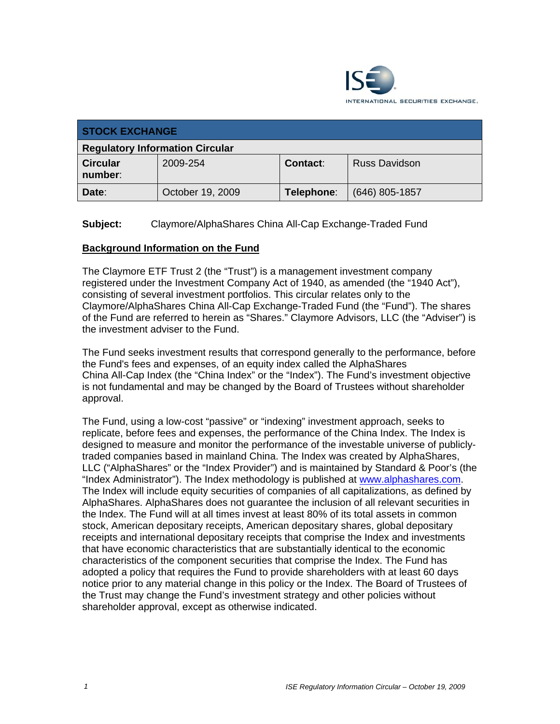

| <b>STOCK EXCHANGE</b>                  |                  |            |                      |  |  |  |
|----------------------------------------|------------------|------------|----------------------|--|--|--|
| <b>Regulatory Information Circular</b> |                  |            |                      |  |  |  |
| <b>Circular</b><br>number:             | 2009-254         | Contact:   | <b>Russ Davidson</b> |  |  |  |
| Date:                                  | October 19, 2009 | Telephone: | $(646)$ 805-1857     |  |  |  |

## **Subject:** Claymore/AlphaShares China All-Cap Exchange-Traded Fund

## **Background Information on the Fund**

The Claymore ETF Trust 2 (the "Trust") is a management investment company registered under the Investment Company Act of 1940, as amended (the "1940 Act"), consisting of several investment portfolios. This circular relates only to the Claymore/AlphaShares China All-Cap Exchange-Traded Fund (the "Fund"). The shares of the Fund are referred to herein as "Shares." Claymore Advisors, LLC (the "Adviser") is the investment adviser to the Fund.

The Fund seeks investment results that correspond generally to the performance, before the Fund's fees and expenses, of an equity index called the AlphaShares China All-Cap Index (the "China Index" or the "Index"). The Fund's investment objective is not fundamental and may be changed by the Board of Trustees without shareholder approval.

The Fund, using a low-cost "passive" or "indexing" investment approach, seeks to replicate, before fees and expenses, the performance of the China Index. The Index is designed to measure and monitor the performance of the investable universe of publiclytraded companies based in mainland China. The Index was created by AlphaShares, LLC ("AlphaShares" or the "Index Provider") and is maintained by Standard & Poor's (the "Index Administrator"). The Index methodology is published at www.alphashares.com. The Index will include equity securities of companies of all capitalizations, as defined by AlphaShares. AlphaShares does not guarantee the inclusion of all relevant securities in the Index. The Fund will at all times invest at least 80% of its total assets in common stock, American depositary receipts, American depositary shares, global depositary receipts and international depositary receipts that comprise the Index and investments that have economic characteristics that are substantially identical to the economic characteristics of the component securities that comprise the Index. The Fund has adopted a policy that requires the Fund to provide shareholders with at least 60 days notice prior to any material change in this policy or the Index. The Board of Trustees of the Trust may change the Fund's investment strategy and other policies without shareholder approval, except as otherwise indicated.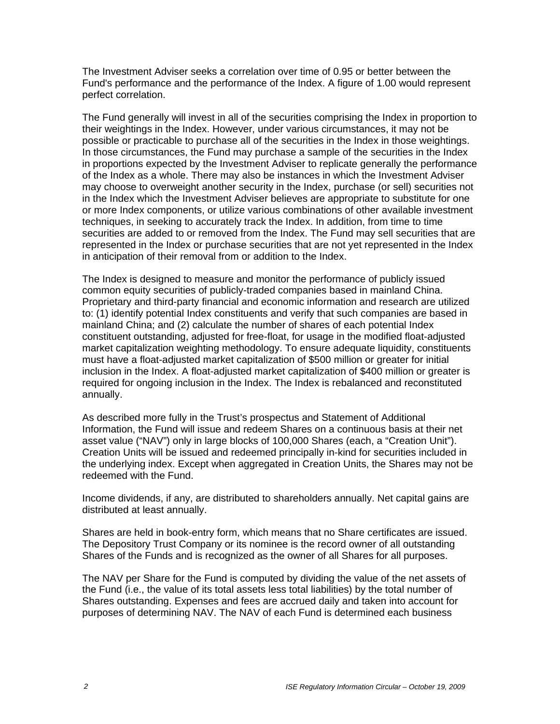The Investment Adviser seeks a correlation over time of 0.95 or better between the Fund's performance and the performance of the Index. A figure of 1.00 would represent perfect correlation.

The Fund generally will invest in all of the securities comprising the Index in proportion to their weightings in the Index. However, under various circumstances, it may not be possible or practicable to purchase all of the securities in the Index in those weightings. In those circumstances, the Fund may purchase a sample of the securities in the Index in proportions expected by the Investment Adviser to replicate generally the performance of the Index as a whole. There may also be instances in which the Investment Adviser may choose to overweight another security in the Index, purchase (or sell) securities not in the Index which the Investment Adviser believes are appropriate to substitute for one or more Index components, or utilize various combinations of other available investment techniques, in seeking to accurately track the Index. In addition, from time to time securities are added to or removed from the Index. The Fund may sell securities that are represented in the Index or purchase securities that are not yet represented in the Index in anticipation of their removal from or addition to the Index.

The Index is designed to measure and monitor the performance of publicly issued common equity securities of publicly-traded companies based in mainland China. Proprietary and third-party financial and economic information and research are utilized to: (1) identify potential Index constituents and verify that such companies are based in mainland China; and (2) calculate the number of shares of each potential Index constituent outstanding, adjusted for free-float, for usage in the modified float-adjusted market capitalization weighting methodology. To ensure adequate liquidity, constituents must have a float-adjusted market capitalization of \$500 million or greater for initial inclusion in the Index. A float-adjusted market capitalization of \$400 million or greater is required for ongoing inclusion in the Index. The Index is rebalanced and reconstituted annually.

As described more fully in the Trust's prospectus and Statement of Additional Information, the Fund will issue and redeem Shares on a continuous basis at their net asset value ("NAV") only in large blocks of 100,000 Shares (each, a "Creation Unit"). Creation Units will be issued and redeemed principally in-kind for securities included in the underlying index. Except when aggregated in Creation Units, the Shares may not be redeemed with the Fund.

Income dividends, if any, are distributed to shareholders annually. Net capital gains are distributed at least annually.

Shares are held in book-entry form, which means that no Share certificates are issued. The Depository Trust Company or its nominee is the record owner of all outstanding Shares of the Funds and is recognized as the owner of all Shares for all purposes.

The NAV per Share for the Fund is computed by dividing the value of the net assets of the Fund (i.e., the value of its total assets less total liabilities) by the total number of Shares outstanding. Expenses and fees are accrued daily and taken into account for purposes of determining NAV. The NAV of each Fund is determined each business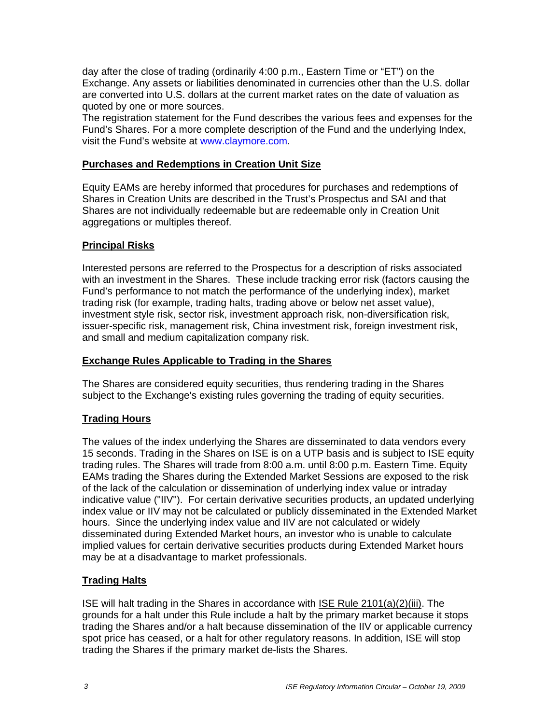day after the close of trading (ordinarily 4:00 p.m., Eastern Time or "ET") on the Exchange. Any assets or liabilities denominated in currencies other than the U.S. dollar are converted into U.S. dollars at the current market rates on the date of valuation as quoted by one or more sources.

The registration statement for the Fund describes the various fees and expenses for the Fund's Shares. For a more complete description of the Fund and the underlying Index, visit the Fund's website at www.claymore.com.

## **Purchases and Redemptions in Creation Unit Size**

Equity EAMs are hereby informed that procedures for purchases and redemptions of Shares in Creation Units are described in the Trust's Prospectus and SAI and that Shares are not individually redeemable but are redeemable only in Creation Unit aggregations or multiples thereof.

## **Principal Risks**

Interested persons are referred to the Prospectus for a description of risks associated with an investment in the Shares. These include tracking error risk (factors causing the Fund's performance to not match the performance of the underlying index), market trading risk (for example, trading halts, trading above or below net asset value), investment style risk, sector risk, investment approach risk, non-diversification risk, issuer-specific risk, management risk, China investment risk, foreign investment risk, and small and medium capitalization company risk.

## **Exchange Rules Applicable to Trading in the Shares**

The Shares are considered equity securities, thus rendering trading in the Shares subject to the Exchange's existing rules governing the trading of equity securities.

## **Trading Hours**

The values of the index underlying the Shares are disseminated to data vendors every 15 seconds. Trading in the Shares on ISE is on a UTP basis and is subject to ISE equity trading rules. The Shares will trade from 8:00 a.m. until 8:00 p.m. Eastern Time. Equity EAMs trading the Shares during the Extended Market Sessions are exposed to the risk of the lack of the calculation or dissemination of underlying index value or intraday indicative value ("IIV"). For certain derivative securities products, an updated underlying index value or IIV may not be calculated or publicly disseminated in the Extended Market hours. Since the underlying index value and IIV are not calculated or widely disseminated during Extended Market hours, an investor who is unable to calculate implied values for certain derivative securities products during Extended Market hours may be at a disadvantage to market professionals.

## **Trading Halts**

ISE will halt trading in the Shares in accordance with ISE Rule 2101(a)(2)(iii). The grounds for a halt under this Rule include a halt by the primary market because it stops trading the Shares and/or a halt because dissemination of the IIV or applicable currency spot price has ceased, or a halt for other regulatory reasons. In addition, ISE will stop trading the Shares if the primary market de-lists the Shares.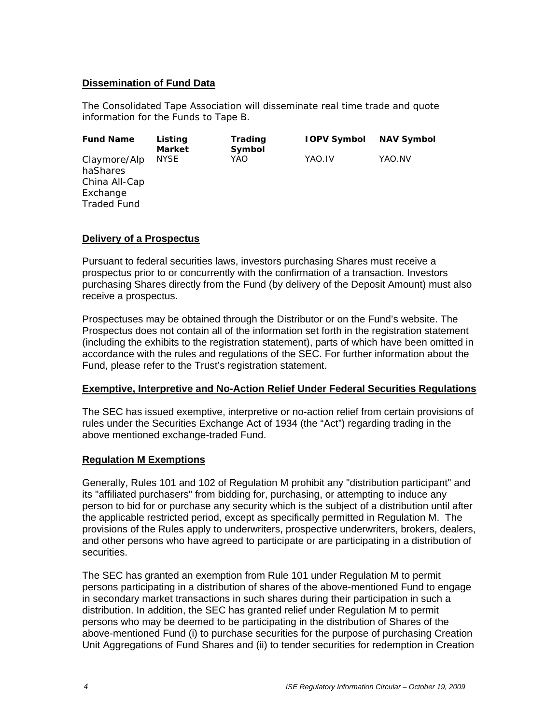### **Dissemination of Fund Data**

The Consolidated Tape Association will disseminate real time trade and quote information for the Funds to Tape B.

| <b>Fund Name</b>                                                            | Listing<br><b>Market</b> | Trading<br>Symbol | <b>IOPV Symbol</b> | <b>NAV Symbol</b> |
|-----------------------------------------------------------------------------|--------------------------|-------------------|--------------------|-------------------|
| Claymore/Alp<br>haShares<br>China All-Cap<br>Exchange<br><b>Traded Fund</b> | <b>NYSE</b>              | YAO               | YAO.IV             | YAO.NV            |

#### **Delivery of a Prospectus**

Pursuant to federal securities laws, investors purchasing Shares must receive a prospectus prior to or concurrently with the confirmation of a transaction. Investors purchasing Shares directly from the Fund (by delivery of the Deposit Amount) must also receive a prospectus.

Prospectuses may be obtained through the Distributor or on the Fund's website. The Prospectus does not contain all of the information set forth in the registration statement (including the exhibits to the registration statement), parts of which have been omitted in accordance with the rules and regulations of the SEC. For further information about the Fund, please refer to the Trust's registration statement.

#### **Exemptive, Interpretive and No-Action Relief Under Federal Securities Regulations**

The SEC has issued exemptive, interpretive or no-action relief from certain provisions of rules under the Securities Exchange Act of 1934 (the "Act") regarding trading in the above mentioned exchange-traded Fund.

## **Regulation M Exemptions**

Generally, Rules 101 and 102 of Regulation M prohibit any "distribution participant" and its "affiliated purchasers" from bidding for, purchasing, or attempting to induce any person to bid for or purchase any security which is the subject of a distribution until after the applicable restricted period, except as specifically permitted in Regulation M. The provisions of the Rules apply to underwriters, prospective underwriters, brokers, dealers, and other persons who have agreed to participate or are participating in a distribution of securities.

The SEC has granted an exemption from Rule 101 under Regulation M to permit persons participating in a distribution of shares of the above-mentioned Fund to engage in secondary market transactions in such shares during their participation in such a distribution. In addition, the SEC has granted relief under Regulation M to permit persons who may be deemed to be participating in the distribution of Shares of the above-mentioned Fund (i) to purchase securities for the purpose of purchasing Creation Unit Aggregations of Fund Shares and (ii) to tender securities for redemption in Creation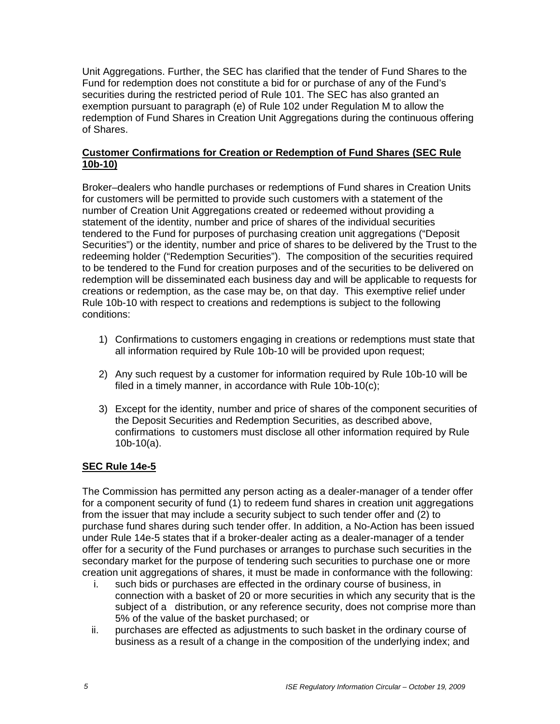Unit Aggregations. Further, the SEC has clarified that the tender of Fund Shares to the Fund for redemption does not constitute a bid for or purchase of any of the Fund's securities during the restricted period of Rule 101. The SEC has also granted an exemption pursuant to paragraph (e) of Rule 102 under Regulation M to allow the redemption of Fund Shares in Creation Unit Aggregations during the continuous offering of Shares.

## **Customer Confirmations for Creation or Redemption of Fund Shares (SEC Rule 10b-10)**

Broker–dealers who handle purchases or redemptions of Fund shares in Creation Units for customers will be permitted to provide such customers with a statement of the number of Creation Unit Aggregations created or redeemed without providing a statement of the identity, number and price of shares of the individual securities tendered to the Fund for purposes of purchasing creation unit aggregations ("Deposit Securities") or the identity, number and price of shares to be delivered by the Trust to the redeeming holder ("Redemption Securities"). The composition of the securities required to be tendered to the Fund for creation purposes and of the securities to be delivered on redemption will be disseminated each business day and will be applicable to requests for creations or redemption, as the case may be, on that day. This exemptive relief under Rule 10b-10 with respect to creations and redemptions is subject to the following conditions:

- 1) Confirmations to customers engaging in creations or redemptions must state that all information required by Rule 10b-10 will be provided upon request;
- 2) Any such request by a customer for information required by Rule 10b-10 will be filed in a timely manner, in accordance with Rule 10b-10(c);
- 3) Except for the identity, number and price of shares of the component securities of the Deposit Securities and Redemption Securities, as described above, confirmations to customers must disclose all other information required by Rule 10b-10(a).

## **SEC Rule 14e-5**

The Commission has permitted any person acting as a dealer-manager of a tender offer for a component security of fund (1) to redeem fund shares in creation unit aggregations from the issuer that may include a security subject to such tender offer and (2) to purchase fund shares during such tender offer. In addition, a No-Action has been issued under Rule 14e-5 states that if a broker-dealer acting as a dealer-manager of a tender offer for a security of the Fund purchases or arranges to purchase such securities in the secondary market for the purpose of tendering such securities to purchase one or more creation unit aggregations of shares, it must be made in conformance with the following:

- i. such bids or purchases are effected in the ordinary course of business, in connection with a basket of 20 or more securities in which any security that is the subject of a distribution, or any reference security, does not comprise more than 5% of the value of the basket purchased; or
- ii. purchases are effected as adjustments to such basket in the ordinary course of business as a result of a change in the composition of the underlying index; and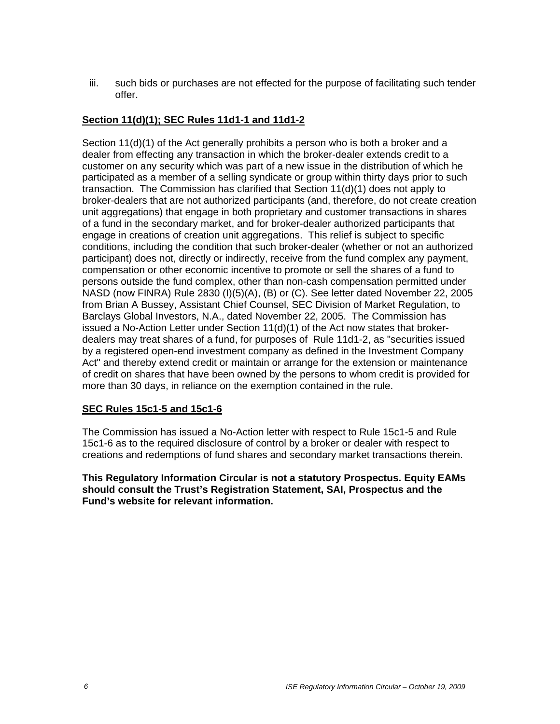iii. such bids or purchases are not effected for the purpose of facilitating such tender offer.

## **Section 11(d)(1); SEC Rules 11d1-1 and 11d1-2**

Section 11(d)(1) of the Act generally prohibits a person who is both a broker and a dealer from effecting any transaction in which the broker-dealer extends credit to a customer on any security which was part of a new issue in the distribution of which he participated as a member of a selling syndicate or group within thirty days prior to such transaction. The Commission has clarified that Section 11(d)(1) does not apply to broker-dealers that are not authorized participants (and, therefore, do not create creation unit aggregations) that engage in both proprietary and customer transactions in shares of a fund in the secondary market, and for broker-dealer authorized participants that engage in creations of creation unit aggregations. This relief is subject to specific conditions, including the condition that such broker-dealer (whether or not an authorized participant) does not, directly or indirectly, receive from the fund complex any payment, compensation or other economic incentive to promote or sell the shares of a fund to persons outside the fund complex, other than non-cash compensation permitted under NASD (now FINRA) Rule 2830 (I)(5)(A), (B) or (C). See letter dated November 22, 2005 from Brian A Bussey, Assistant Chief Counsel, SEC Division of Market Regulation, to Barclays Global Investors, N.A., dated November 22, 2005. The Commission has issued a No-Action Letter under Section  $11(d)(1)$  of the Act now states that brokerdealers may treat shares of a fund, for purposes of Rule 11d1-2, as "securities issued by a registered open-end investment company as defined in the Investment Company Act" and thereby extend credit or maintain or arrange for the extension or maintenance of credit on shares that have been owned by the persons to whom credit is provided for more than 30 days, in reliance on the exemption contained in the rule.

## **SEC Rules 15c1-5 and 15c1-6**

The Commission has issued a No-Action letter with respect to Rule 15c1-5 and Rule 15c1-6 as to the required disclosure of control by a broker or dealer with respect to creations and redemptions of fund shares and secondary market transactions therein.

**This Regulatory Information Circular is not a statutory Prospectus. Equity EAMs should consult the Trust's Registration Statement, SAI, Prospectus and the Fund's website for relevant information.**